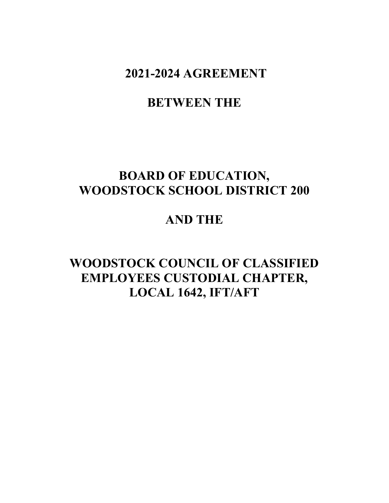**2021-2024 AGREEMENT** 

# **BETWEEN THE**

# **BOARD OF EDUCATION, WOODSTOCK SCHOOL DISTRICT 200**

# **AND THE**

# **WOODSTOCK COUNCIL OF CLASSIFIED EMPLOYEES CUSTODIAL CHAPTER, LOCAL 1642, IFT/AFT**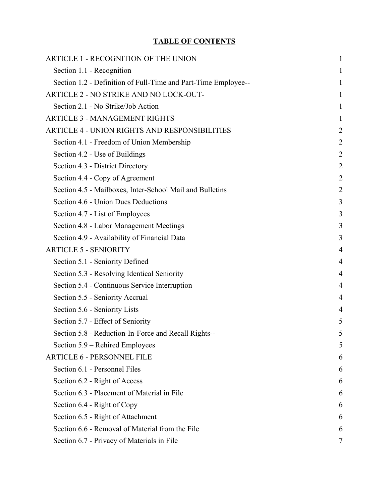# **TABLE OF CONTENTS**

| ARTICLE 1 - RECOGNITION OF THE UNION                           | 1              |
|----------------------------------------------------------------|----------------|
| Section 1.1 - Recognition                                      | 1              |
| Section 1.2 - Definition of Full-Time and Part-Time Employee-- | 1              |
| ARTICLE 2 - NO STRIKE AND NO LOCK-OUT-                         |                |
| Section 2.1 - No Strike/Job Action                             | 1              |
| <b>ARTICLE 3 - MANAGEMENT RIGHTS</b>                           | 1              |
| <b>ARTICLE 4 - UNION RIGHTS AND RESPONSIBILITIES</b>           | $\overline{2}$ |
| Section 4.1 - Freedom of Union Membership                      | $\overline{c}$ |
| Section 4.2 - Use of Buildings                                 | $\overline{c}$ |
| Section 4.3 - District Directory                               | $\overline{c}$ |
| Section 4.4 - Copy of Agreement                                | $\overline{2}$ |
| Section 4.5 - Mailboxes, Inter-School Mail and Bulletins       | $\overline{2}$ |
| Section 4.6 - Union Dues Deductions                            | 3              |
| Section 4.7 - List of Employees                                | 3              |
| Section 4.8 - Labor Management Meetings                        | 3              |
| Section 4.9 - Availability of Financial Data                   | 3              |
| <b>ARTICLE 5 - SENIORITY</b>                                   | $\overline{4}$ |
| Section 5.1 - Seniority Defined                                | 4              |
| Section 5.3 - Resolving Identical Seniority                    | $\overline{4}$ |
| Section 5.4 - Continuous Service Interruption                  | 4              |
| Section 5.5 - Seniority Accrual                                | 4              |
| Section 5.6 - Seniority Lists                                  | $\overline{4}$ |
| Section 5.7 - Effect of Seniority                              | 5              |
| Section 5.8 - Reduction-In-Force and Recall Rights--           | 5              |
| Section 5.9 – Rehired Employees                                | 5              |
| <b>ARTICLE 6 - PERSONNEL FILE</b>                              | h              |
| Section 6.1 - Personnel Files                                  |                |
| Section 6.2 - Right of Access                                  |                |
| Section 6.3 - Placement of Material in File                    | 6              |
| Section 6.4 - Right of Copy                                    | 6              |
| Section 6.5 - Right of Attachment                              | 6              |
| Section 6.6 - Removal of Material from the File                | 6              |
| Section 6.7 - Privacy of Materials in File                     | 7              |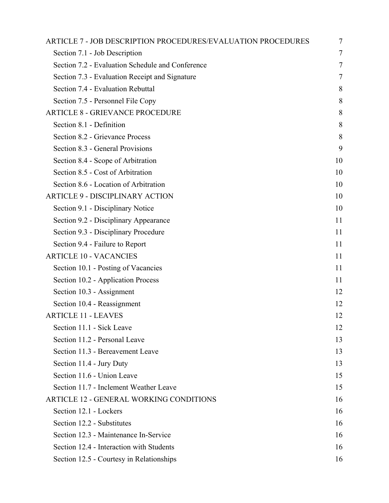| <b>ARTICLE 7 - JOB DESCRIPTION PROCEDURES/EVALUATION PROCEDURES</b> | 7      |
|---------------------------------------------------------------------|--------|
| Section 7.1 - Job Description                                       | $\tau$ |
| Section 7.2 - Evaluation Schedule and Conference                    | 7      |
| Section 7.3 - Evaluation Receipt and Signature                      | 7      |
| Section 7.4 - Evaluation Rebuttal                                   | 8      |
| Section 7.5 - Personnel File Copy                                   | 8      |
| <b>ARTICLE 8 - GRIEVANCE PROCEDURE</b>                              | 8      |
| Section 8.1 - Definition                                            | 8      |
| Section 8.2 - Grievance Process                                     | 8      |
| Section 8.3 - General Provisions                                    | 9      |
| Section 8.4 - Scope of Arbitration                                  | 10     |
| Section 8.5 - Cost of Arbitration                                   | 10     |
| Section 8.6 - Location of Arbitration                               | 10     |
| <b>ARTICLE 9 - DISCIPLINARY ACTION</b>                              | 10     |
| Section 9.1 - Disciplinary Notice                                   | 10     |
| Section 9.2 - Disciplinary Appearance                               | 11     |
| Section 9.3 - Disciplinary Procedure                                | 11     |
| Section 9.4 - Failure to Report                                     | 11     |
| <b>ARTICLE 10 - VACANCIES</b>                                       | 11     |
| Section 10.1 - Posting of Vacancies                                 | 11     |
| Section 10.2 - Application Process                                  | 11     |
| Section 10.3 - Assignment                                           | 12     |
| Section 10.4 - Reassignment                                         | 12     |
| <b>ARTICLE 11 - LEAVES</b>                                          | 12     |
| Section 11.1 - Sick Leave                                           | 12     |
| Section 11.2 - Personal Leave                                       | 13     |
| Section 11.3 - Bereavement Leave                                    | 13     |
| Section 11.4 - Jury Duty                                            | 13     |
| Section 11.6 - Union Leave                                          | 15     |
| Section 11.7 - Inclement Weather Leave                              | 15     |
| <b>ARTICLE 12 - GENERAL WORKING CONDITIONS</b>                      | 16     |
| Section 12.1 - Lockers                                              | 16     |
| Section 12.2 - Substitutes                                          | 16     |
| Section 12.3 - Maintenance In-Service                               | 16     |
| Section 12.4 - Interaction with Students                            | 16     |
| Section 12.5 - Courtesy in Relationships                            | 16     |
|                                                                     |        |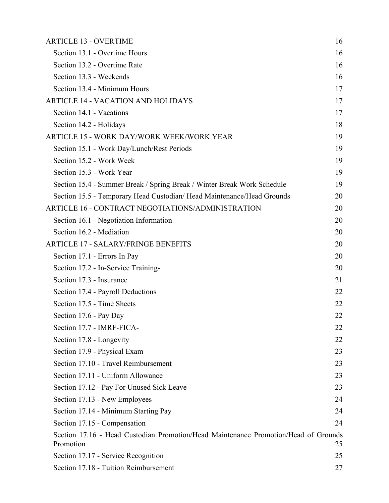| <b>ARTICLE 13 - OVERTIME</b>                                                                     | 16 |
|--------------------------------------------------------------------------------------------------|----|
| Section 13.1 - Overtime Hours                                                                    | 16 |
| Section 13.2 - Overtime Rate                                                                     | 16 |
| Section 13.3 - Weekends                                                                          | 16 |
| Section 13.4 - Minimum Hours                                                                     | 17 |
| <b>ARTICLE 14 - VACATION AND HOLIDAYS</b>                                                        | 17 |
| Section 14.1 - Vacations                                                                         | 17 |
| Section 14.2 - Holidays                                                                          | 18 |
| ARTICLE 15 - WORK DAY/WORK WEEK/WORK YEAR                                                        | 19 |
| Section 15.1 - Work Day/Lunch/Rest Periods                                                       | 19 |
| Section 15.2 - Work Week                                                                         | 19 |
| Section 15.3 - Work Year                                                                         | 19 |
| Section 15.4 - Summer Break / Spring Break / Winter Break Work Schedule                          | 19 |
| Section 15.5 - Temporary Head Custodian/ Head Maintenance/Head Grounds                           | 20 |
| ARTICLE 16 - CONTRACT NEGOTIATIONS/ADMINISTRATION                                                | 20 |
| Section 16.1 - Negotiation Information                                                           | 20 |
| Section 16.2 - Mediation                                                                         | 20 |
| <b>ARTICLE 17 - SALARY/FRINGE BENEFITS</b>                                                       | 20 |
| Section 17.1 - Errors In Pay                                                                     | 20 |
| Section 17.2 - In-Service Training-                                                              | 20 |
| Section 17.3 - Insurance                                                                         | 21 |
| Section 17.4 - Payroll Deductions                                                                | 22 |
| Section 17.5 - Time Sheets                                                                       | 22 |
| Section 17.6 - Pay Day                                                                           | 22 |
| Section 17.7 - IMRF-FICA-                                                                        | 22 |
| Section 17.8 - Longevity                                                                         | 22 |
| Section 17.9 - Physical Exam                                                                     | 23 |
| Section 17.10 - Travel Reimbursement                                                             | 23 |
| Section 17.11 - Uniform Allowance                                                                | 23 |
| Section 17.12 - Pay For Unused Sick Leave                                                        | 23 |
| Section 17.13 - New Employees                                                                    | 24 |
| Section 17.14 - Minimum Starting Pay                                                             | 24 |
| Section 17.15 - Compensation                                                                     | 24 |
| Section 17.16 - Head Custodian Promotion/Head Maintenance Promotion/Head of Grounds<br>Promotion | 25 |
| Section 17.17 - Service Recognition                                                              | 25 |
| Section 17.18 - Tuition Reimbursement                                                            | 27 |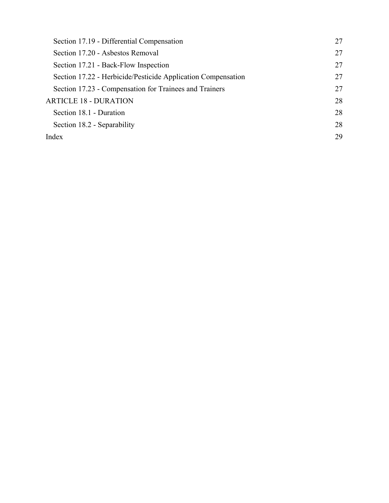| Section 17.19 - Differential Compensation                    | 27 |
|--------------------------------------------------------------|----|
| Section 17.20 - Asbestos Removal                             | 27 |
| Section 17.21 - Back-Flow Inspection                         | 27 |
| Section 17.22 - Herbicide/Pesticide Application Compensation | 27 |
| Section 17.23 - Compensation for Trainees and Trainers       | 27 |
| <b>ARTICLE 18 - DURATION</b>                                 | 28 |
| Section 18.1 - Duration                                      | 28 |
| Section 18.2 - Separability                                  | 28 |
| Index                                                        | 29 |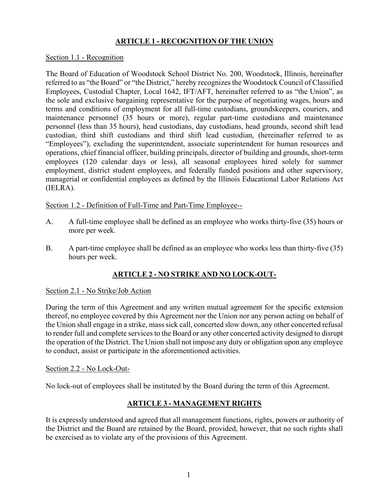## **ARTICLE 1 - RECOGNITION OF THE UNION**

#### Section 1.1 - Recognition

The Board of Education of Woodstock School District No. 200, Woodstock, Illinois, hereinafter referred to as "the Board" or "the District," hereby recognizes the Woodstock Council of Classified Employees, Custodial Chapter, Local 1642, IFT/AFT, hereinafter referred to as "the Union", as the sole and exclusive bargaining representative for the purpose of negotiating wages, hours and terms and conditions of employment for all full-time custodians, groundskeepers, couriers, and maintenance personnel (35 hours or more), regular part-time custodians and maintenance personnel (less than 35 hours), head custodians, day custodians, head grounds, second shift lead custodian, third shift custodians and third shift lead custodian, (hereinafter referred to as "Employees"), excluding the superintendent, associate superintendent for human resources and operations, chief financial officer, building principals, director of building and grounds, short-term employees (120 calendar days or less), all seasonal employees hired solely for summer employment, district student employees, and federally funded positions and other supervisory, managerial or confidential employees as defined by the Illinois Educational Labor Relations Act (IELRA).

Section 1.2 - Definition of Full-Time and Part-Time Employee--

- A. A full-time employee shall be defined as an employee who works thirty-five (35) hours or more per week.
- B. A part-time employee shall be defined as an employee who works less than thirty-five (35) hours per week.

## **ARTICLE 2 - NO STRIKE AND NO LOCK-OUT-**

#### Section 2.1 - No Strike/Job Action

During the term of this Agreement and any written mutual agreement for the specific extension thereof, no employee covered by this Agreement nor the Union nor any person acting on behalf of the Union shall engage in a strike, mass sick call, concerted slow down, any other concerted refusal to render full and complete services to the Board or any other concerted activity designed to disrupt the operation of the District. The Union shall not impose any duty or obligation upon any employee to conduct, assist or participate in the aforementioned activities.

#### Section 2.2 - No Lock-Out-

No lock-out of employees shall be instituted by the Board during the term of this Agreement.

## **ARTICLE 3 - MANAGEMENT RIGHTS**

It is expressly understood and agreed that all management functions, rights, powers or authority of the District and the Board are retained by the Board, provided, however, that no such rights shall be exercised as to violate any of the provisions of this Agreement.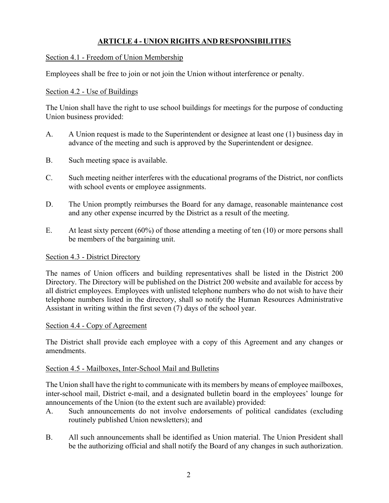## **ARTICLE 4 - UNION RIGHTS AND RESPONSIBILITIES**

## Section 4.1 - Freedom of Union Membership

Employees shall be free to join or not join the Union without interference or penalty.

## Section 4.2 - Use of Buildings

The Union shall have the right to use school buildings for meetings for the purpose of conducting Union business provided:

- A. A Union request is made to the Superintendent or designee at least one (1) business day in advance of the meeting and such is approved by the Superintendent or designee.
- B. Such meeting space is available.
- C. Such meeting neither interferes with the educational programs of the District, nor conflicts with school events or employee assignments.
- D. The Union promptly reimburses the Board for any damage, reasonable maintenance cost and any other expense incurred by the District as a result of the meeting.
- E. At least sixty percent (60%) of those attending a meeting of ten (10) or more persons shall be members of the bargaining unit.

#### Section 4.3 - District Directory

The names of Union officers and building representatives shall be listed in the District 200 Directory. The Directory will be published on the District 200 website and available for access by all district employees. Employees with unlisted telephone numbers who do not wish to have their telephone numbers listed in the directory, shall so notify the Human Resources Administrative Assistant in writing within the first seven (7) days of the school year.

#### Section 4.4 - Copy of Agreement

The District shall provide each employee with a copy of this Agreement and any changes or amendments.

#### Section 4.5 - Mailboxes, Inter-School Mail and Bulletins

The Union shall have the right to communicate with its members by means of employee mailboxes, inter-school mail, District e-mail, and a designated bulletin board in the employees' lounge for announcements of the Union (to the extent such are available) provided:

- A. Such announcements do not involve endorsements of political candidates (excluding routinely published Union newsletters); and
- B. All such announcements shall be identified as Union material. The Union President shall be the authorizing official and shall notify the Board of any changes in such authorization.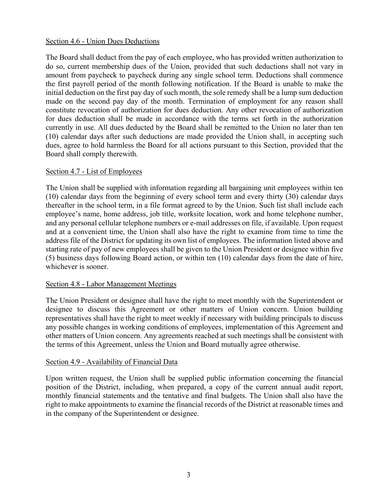#### Section 4.6 - Union Dues Deductions

The Board shall deduct from the pay of each employee, who has provided written authorization to do so, current membership dues of the Union, provided that such deductions shall not vary in amount from paycheck to paycheck during any single school term. Deductions shall commence the first payroll period of the month following notification. If the Board is unable to make the initial deduction on the first pay day of such month, the sole remedy shall be a lump sum deduction made on the second pay day of the month. Termination of employment for any reason shall constitute revocation of authorization for dues deduction. Any other revocation of authorization for dues deduction shall be made in accordance with the terms set forth in the authorization currently in use. All dues deducted by the Board shall be remitted to the Union no later than ten (10) calendar days after such deductions are made provided the Union shall, in accepting such dues, agree to hold harmless the Board for all actions pursuant to this Section, provided that the Board shall comply therewith.

#### Section 4.7 - List of Employees

The Union shall be supplied with information regarding all bargaining unit employees within ten (10) calendar days from the beginning of every school term and every thirty (30) calendar days thereafter in the school term, in a file format agreed to by the Union. Such list shall include each employee's name, home address, job title, worksite location, work and home telephone number, and any personal cellular telephone numbers or e-mail addresses on file, if available. Upon request and at a convenient time, the Union shall also have the right to examine from time to time the address file of the District for updating its own list of employees. The information listed above and starting rate of pay of new employees shall be given to the Union President or designee within five (5) business days following Board action, or within ten (10) calendar days from the date of hire, whichever is sooner.

#### Section 4.8 - Labor Management Meetings

The Union President or designee shall have the right to meet monthly with the Superintendent or designee to discuss this Agreement or other matters of Union concern. Union building representatives shall have the right to meet weekly if necessary with building principals to discuss any possible changes in working conditions of employees, implementation of this Agreement and other matters of Union concern. Any agreements reached at such meetings shall be consistent with the terms of this Agreement, unless the Union and Board mutually agree otherwise.

#### Section 4.9 - Availability of Financial Data

Upon written request, the Union shall be supplied public information concerning the financial position of the District, including, when prepared, a copy of the current annual audit report, monthly financial statements and the tentative and final budgets. The Union shall also have the right to make appointments to examine the financial records of the District at reasonable times and in the company of the Superintendent or designee.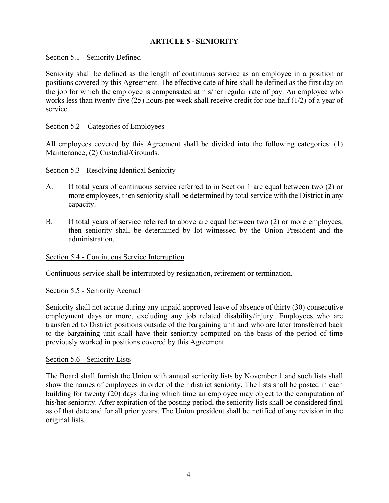## **ARTICLE 5 - SENIORITY**

## Section 5.1 - Seniority Defined

Seniority shall be defined as the length of continuous service as an employee in a position or positions covered by this Agreement. The effective date of hire shall be defined as the first day on the job for which the employee is compensated at his/her regular rate of pay. An employee who works less than twenty-five (25) hours per week shall receive credit for one-half (1/2) of a year of service.

#### Section 5.2 – Categories of Employees

All employees covered by this Agreement shall be divided into the following categories: (1) Maintenance, (2) Custodial/Grounds.

#### Section 5.3 - Resolving Identical Seniority

- A. If total years of continuous service referred to in Section 1 are equal between two (2) or more employees, then seniority shall be determined by total service with the District in any capacity.
- B. If total years of service referred to above are equal between two (2) or more employees, then seniority shall be determined by lot witnessed by the Union President and the administration.

#### Section 5.4 - Continuous Service Interruption

Continuous service shall be interrupted by resignation, retirement or termination.

#### Section 5.5 - Seniority Accrual

Seniority shall not accrue during any unpaid approved leave of absence of thirty (30) consecutive employment days or more, excluding any job related disability/injury. Employees who are transferred to District positions outside of the bargaining unit and who are later transferred back to the bargaining unit shall have their seniority computed on the basis of the period of time previously worked in positions covered by this Agreement.

#### Section 5.6 - Seniority Lists

The Board shall furnish the Union with annual seniority lists by November 1 and such lists shall show the names of employees in order of their district seniority. The lists shall be posted in each building for twenty (20) days during which time an employee may object to the computation of his/her seniority. After expiration of the posting period, the seniority lists shall be considered final as of that date and for all prior years. The Union president shall be notified of any revision in the original lists.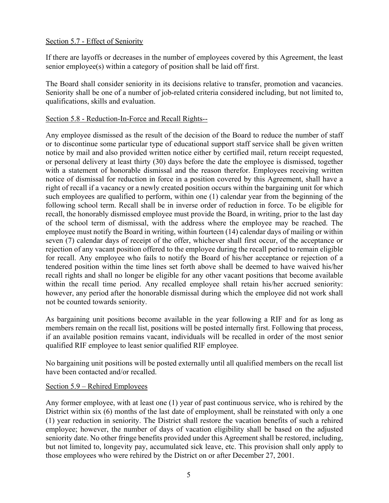## Section 5.7 - Effect of Seniority

If there are layoffs or decreases in the number of employees covered by this Agreement, the least senior employee(s) within a category of position shall be laid off first.

The Board shall consider seniority in its decisions relative to transfer, promotion and vacancies. Seniority shall be one of a number of job-related criteria considered including, but not limited to, qualifications, skills and evaluation.

## Section 5.8 - Reduction-In-Force and Recall Rights--

Any employee dismissed as the result of the decision of the Board to reduce the number of staff or to discontinue some particular type of educational support staff service shall be given written notice by mail and also provided written notice either by certified mail, return receipt requested, or personal delivery at least thirty (30) days before the date the employee is dismissed, together with a statement of honorable dismissal and the reason therefor. Employees receiving written notice of dismissal for reduction in force in a position covered by this Agreement, shall have a right of recall if a vacancy or a newly created position occurs within the bargaining unit for which such employees are qualified to perform, within one (1) calendar year from the beginning of the following school term. Recall shall be in inverse order of reduction in force. To be eligible for recall, the honorably dismissed employee must provide the Board, in writing, prior to the last day of the school term of dismissal, with the address where the employee may be reached. The employee must notify the Board in writing, within fourteen (14) calendar days of mailing or within seven (7) calendar days of receipt of the offer, whichever shall first occur, of the acceptance or rejection of any vacant position offered to the employee during the recall period to remain eligible for recall. Any employee who fails to notify the Board of his/her acceptance or rejection of a tendered position within the time lines set forth above shall be deemed to have waived his/her recall rights and shall no longer be eligible for any other vacant positions that become available within the recall time period. Any recalled employee shall retain his/her accrued seniority: however, any period after the honorable dismissal during which the employee did not work shall not be counted towards seniority.

As bargaining unit positions become available in the year following a RIF and for as long as members remain on the recall list, positions will be posted internally first. Following that process, if an available position remains vacant, individuals will be recalled in order of the most senior qualified RIF employee to least senior qualified RIF employee.

No bargaining unit positions will be posted externally until all qualified members on the recall list have been contacted and/or recalled.

#### Section 5.9 – Rehired Employees

Any former employee, with at least one (1) year of past continuous service, who is rehired by the District within six (6) months of the last date of employment, shall be reinstated with only a one (1) year reduction in seniority. The District shall restore the vacation benefits of such a rehired employee; however, the number of days of vacation eligibility shall be based on the adjusted seniority date. No other fringe benefits provided under this Agreement shall be restored, including, but not limited to, longevity pay, accumulated sick leave, etc. This provision shall only apply to those employees who were rehired by the District on or after December 27, 2001.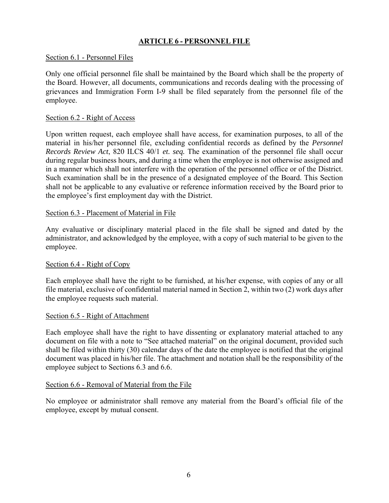## **ARTICLE 6 - PERSONNEL FILE**

#### Section 6.1 - Personnel Files

Only one official personnel file shall be maintained by the Board which shall be the property of the Board. However, all documents, communications and records dealing with the processing of grievances and Immigration Form I-9 shall be filed separately from the personnel file of the employee.

#### Section 6.2 - Right of Access

Upon written request, each employee shall have access, for examination purposes, to all of the material in his/her personnel file, excluding confidential records as defined by the *Personnel Records Review Act*, 820 ILCS 40/1 *et. seq.* The examination of the personnel file shall occur during regular business hours, and during a time when the employee is not otherwise assigned and in a manner which shall not interfere with the operation of the personnel office or of the District. Such examination shall be in the presence of a designated employee of the Board. This Section shall not be applicable to any evaluative or reference information received by the Board prior to the employee's first employment day with the District.

#### Section 6.3 - Placement of Material in File

Any evaluative or disciplinary material placed in the file shall be signed and dated by the administrator, and acknowledged by the employee, with a copy of such material to be given to the employee.

#### Section 6.4 - Right of Copy

Each employee shall have the right to be furnished, at his/her expense, with copies of any or all file material, exclusive of confidential material named in Section 2, within two (2) work days after the employee requests such material.

#### Section 6.5 - Right of Attachment

Each employee shall have the right to have dissenting or explanatory material attached to any document on file with a note to "See attached material" on the original document, provided such shall be filed within thirty (30) calendar days of the date the employee is notified that the original document was placed in his/her file. The attachment and notation shall be the responsibility of the employee subject to Sections 6.3 and 6.6.

#### Section 6.6 - Removal of Material from the File

No employee or administrator shall remove any material from the Board's official file of the employee, except by mutual consent.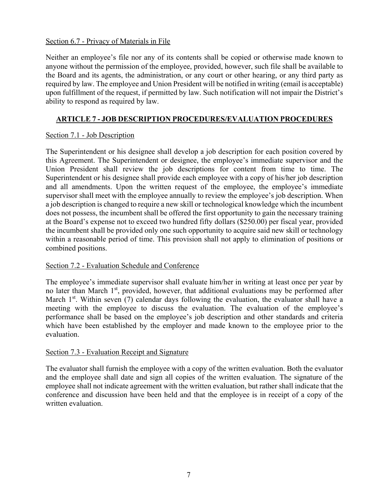## Section 6.7 - Privacy of Materials in File

Neither an employee's file nor any of its contents shall be copied or otherwise made known to anyone without the permission of the employee, provided, however, such file shall be available to the Board and its agents, the administration, or any court or other hearing, or any third party as required by law. The employee and Union President will be notified in writing (email is acceptable) upon fulfillment of the request, if permitted by law. Such notification will not impair the District's ability to respond as required by law.

## **ARTICLE 7 - JOB DESCRIPTION PROCEDURES/EVALUATION PROCEDURES**

## Section 7.1 - Job Description

The Superintendent or his designee shall develop a job description for each position covered by this Agreement. The Superintendent or designee, the employee's immediate supervisor and the Union President shall review the job descriptions for content from time to time. The Superintendent or his designee shall provide each employee with a copy of his/her job description and all amendments. Upon the written request of the employee, the employee's immediate supervisor shall meet with the employee annually to review the employee's job description. When a job description is changed to require a new skill or technological knowledge which the incumbent does not possess, the incumbent shall be offered the first opportunity to gain the necessary training at the Board's expense not to exceed two hundred fifty dollars (\$250.00) per fiscal year, provided the incumbent shall be provided only one such opportunity to acquire said new skill or technology within a reasonable period of time. This provision shall not apply to elimination of positions or combined positions.

#### Section 7.2 - Evaluation Schedule and Conference

The employee's immediate supervisor shall evaluate him/her in writing at least once per year by no later than March  $1<sup>st</sup>$ , provided, however, that additional evaluations may be performed after March  $1<sup>st</sup>$ . Within seven (7) calendar days following the evaluation, the evaluator shall have a meeting with the employee to discuss the evaluation. The evaluation of the employee's performance shall be based on the employee's job description and other standards and criteria which have been established by the employer and made known to the employee prior to the evaluation.

#### Section 7.3 - Evaluation Receipt and Signature

The evaluator shall furnish the employee with a copy of the written evaluation. Both the evaluator and the employee shall date and sign all copies of the written evaluation. The signature of the employee shall not indicate agreement with the written evaluation, but rather shall indicate that the conference and discussion have been held and that the employee is in receipt of a copy of the written evaluation.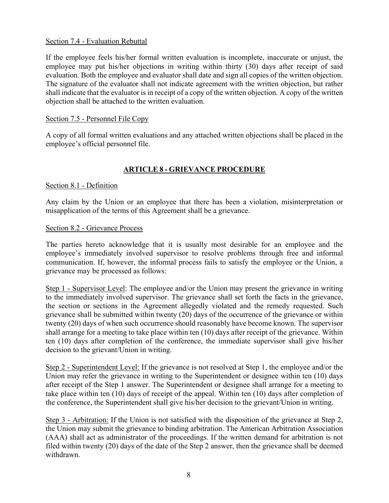#### Section 7.4 - Evaluation Rebuttal

If the employee feels his/her formal written evaluation is incomplete, inaccurate or unjust, the employee may put his/her objections in writing within thirty (30) days after receipt of said evaluation. Both the employee and evaluator shall date and sign all copies of the written objection. The signature of the evaluator shall not indicate agreement with the written objection, but rather shall indicate that the evaluator is in receipt of a copy of the written objection. A copy of the written objection shall be attached to the written evaluation.

## Section 7.5 - Personnel File Copy

A copy of all formal written evaluations and any attached written objections shall be placed in the employee's official personnel file.

# **ARTICLE 8 - GRIEVANCE PROCEDURE**

## Section 8.1 - Definition

Any claim by the Union or an employee that there has been a violation, misinterpretation or misapplication of the terms of this Agreement shall be a grievance.

#### Section 8.2 - Grievance Process

The parties hereto acknowledge that it is usually most desirable for an employee and the employee's immediately involved supervisor to resolve problems through free and informal communication. If, however, the informal process fails to satisfy the employee or the Union, a grievance may be processed as follows:

Step 1 - Supervisor Level: The employee and/or the Union may present the grievance in writing to the immediately involved supervisor. The grievance shall set forth the facts in the grievance, the section or sections in the Agreement allegedly violated and the remedy requested. Such grievance shall be submitted within twenty (20) days of the occurrence of the grievance or within twenty (20) days of when such occurrence should reasonably have become known. The supervisor shall arrange for a meeting to take place within ten (10) days after receipt of the grievance. Within ten (10) days after completion of the conference, the immediate supervisor shall give his/her decision to the grievant/Union in writing.

Step 2 - Superintendent Level: If the grievance is not resolved at Step 1, the employee and/or the Union may refer the grievance in writing to the Superintendent or designee within ten (10) days after receipt of the Step 1 answer. The Superintendent or designee shall arrange for a meeting to take place within ten (10) days of receipt of the appeal. Within ten (10) days after completion of the conference, the Superintendent shall give his/her decision to the grievant/Union in writing.

Step 3 - Arbitration: If the Union is not satisfied with the disposition of the grievance at Step 2, the Union may submit the grievance to binding arbitration. The American Arbitration Association (AAA) shall act as administrator of the proceedings. If the written demand for arbitration is not filed within twenty (20) days of the date of the Step 2 answer, then the grievance shall be deemed withdrawn.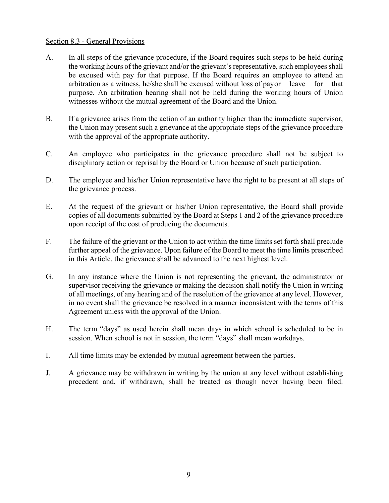#### Section 8.3 - General Provisions

- A. In all steps of the grievance procedure, if the Board requires such steps to be held during the working hours of the grievant and/or the grievant's representative, such employees shall be excused with pay for that purpose. If the Board requires an employee to attend an arbitration as a witness, he/she shall be excused without loss of payor leave for that purpose. An arbitration hearing shall not be held during the working hours of Union witnesses without the mutual agreement of the Board and the Union.
- B. If a grievance arises from the action of an authority higher than the immediate supervisor, the Union may present such a grievance at the appropriate steps of the grievance procedure with the approval of the appropriate authority.
- C. An employee who participates in the grievance procedure shall not be subject to disciplinary action or reprisal by the Board or Union because of such participation.
- D. The employee and his/her Union representative have the right to be present at all steps of the grievance process.
- E. At the request of the grievant or his/her Union representative, the Board shall provide copies of all documents submitted by the Board at Steps 1 and 2 of the grievance procedure upon receipt of the cost of producing the documents.
- F. The failure of the grievant or the Union to act within the time limits set forth shall preclude further appeal of the grievance. Upon failure of the Board to meet the time limits prescribed in this Article, the grievance shall be advanced to the next highest level.
- G. In any instance where the Union is not representing the grievant, the administrator or supervisor receiving the grievance or making the decision shall notify the Union in writing of all meetings, of any hearing and of the resolution of the grievance at any level. However, in no event shall the grievance be resolved in a manner inconsistent with the terms of this Agreement unless with the approval of the Union.
- H. The term "days" as used herein shall mean days in which school is scheduled to be in session. When school is not in session, the term "days" shall mean workdays.
- I. All time limits may be extended by mutual agreement between the parties.
- J. A grievance may be withdrawn in writing by the union at any level without establishing precedent and, if withdrawn, shall be treated as though never having been filed.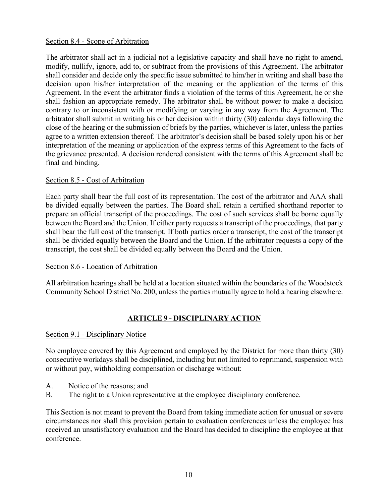## Section 8.4 - Scope of Arbitration

The arbitrator shall act in a judicial not a legislative capacity and shall have no right to amend, modify, nullify, ignore, add to, or subtract from the provisions of this Agreement. The arbitrator shall consider and decide only the specific issue submitted to him/her in writing and shall base the decision upon his/her interpretation of the meaning or the application of the terms of this Agreement. In the event the arbitrator finds a violation of the terms of this Agreement, he or she shall fashion an appropriate remedy. The arbitrator shall be without power to make a decision contrary to or inconsistent with or modifying or varying in any way from the Agreement. The arbitrator shall submit in writing his or her decision within thirty (30) calendar days following the close of the hearing or the submission of briefs by the parties, whichever is later, unless the parties agree to a written extension thereof. The arbitrator's decision shall be based solely upon his or her interpretation of the meaning or application of the express terms of this Agreement to the facts of the grievance presented. A decision rendered consistent with the terms of this Agreement shall be final and binding.

## Section 8.5 - Cost of Arbitration

Each party shall bear the full cost of its representation. The cost of the arbitrator and AAA shall be divided equally between the parties. The Board shall retain a certified shorthand reporter to prepare an official transcript of the proceedings. The cost of such services shall be borne equally between the Board and the Union. If either party requests a transcript of the proceedings, that party shall bear the full cost of the transcript. If both parties order a transcript, the cost of the transcript shall be divided equally between the Board and the Union. If the arbitrator requests a copy of the transcript, the cost shall be divided equally between the Board and the Union.

#### Section 8.6 - Location of Arbitration

All arbitration hearings shall be held at a location situated within the boundaries of the Woodstock Community School District No. 200, unless the parties mutually agree to hold a hearing elsewhere.

# **ARTICLE 9 - DISCIPLINARY ACTION**

#### Section 9.1 - Disciplinary Notice

No employee covered by this Agreement and employed by the District for more than thirty (30) consecutive workdays shall be disciplined, including but not limited to reprimand, suspension with or without pay, withholding compensation or discharge without:

- A. Notice of the reasons; and
- B. The right to a Union representative at the employee disciplinary conference.

This Section is not meant to prevent the Board from taking immediate action for unusual or severe circumstances nor shall this provision pertain to evaluation conferences unless the employee has received an unsatisfactory evaluation and the Board has decided to discipline the employee at that conference.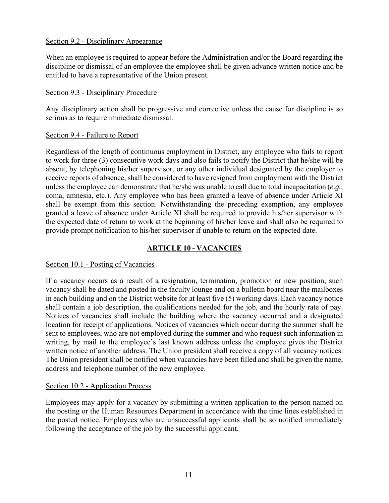#### Section 9.2 - Disciplinary Appearance

When an employee is required to appear before the Administration and/or the Board regarding the discipline or dismissal of an employee the employee shall be given advance written notice and be entitled to have a representative of the Union present.

#### Section 9.3 - Disciplinary Procedure

Any disciplinary action shall be progressive and corrective unless the cause for discipline is so serious as to require immediate dismissal.

## Section 9.4 - Failure to Report

Regardless of the length of continuous employment in District, any employee who fails to report to work for three (3) consecutive work days and also fails to notify the District that he/she will be absent, by telephoning his/her supervisor, or any other individual designated by the employer to receive reports of absence, shall be considered to have resigned from employment with the District unless the employee can demonstrate that he/she was unable to call due to total incapacitation (*e.g.,* coma, amnesia, etc.). Any employee who has been granted a leave of absence under Article XI shall be exempt from this section. Notwithstanding the preceding exemption, any employee granted a leave of absence under Article XI shall be required to provide his/her supervisor with the expected date of return to work at the beginning of his/her leave and shall also be required to provide prompt notification to his/her supervisor if unable to return on the expected date.

# **ARTICLE 10 - VACANCIES**

## Section 10.1 - Posting of Vacancies

If a vacancy occurs as a result of a resignation, termination, promotion or new position, such vacancy shall be dated and posted in the faculty lounge and on a bulletin board near the mailboxes in each building and on the District website for at least five (5) working days. Each vacancy notice shall contain a job description, the qualifications needed for the job, and the hourly rate of pay. Notices of vacancies shall include the building where the vacancy occurred and a designated location for receipt of applications. Notices of vacancies which occur during the summer shall be sent to employees, who are not employed during the summer and who request such information in writing, by mail to the employee's last known address unless the employee gives the District written notice of another address. The Union president shall receive a copy of all vacancy notices. The Union president shall be notified when vacancies have been filled and shall be given the name, address and telephone number of the new employee.

#### Section 10.2 - Application Process

Employees may apply for a vacancy by submitting a written application to the person named on the posting or the Human Resources Department in accordance with the time lines established in the posted notice. Employees who are unsuccessful applicants shall be so notified immediately following the acceptance of the job by the successful applicant.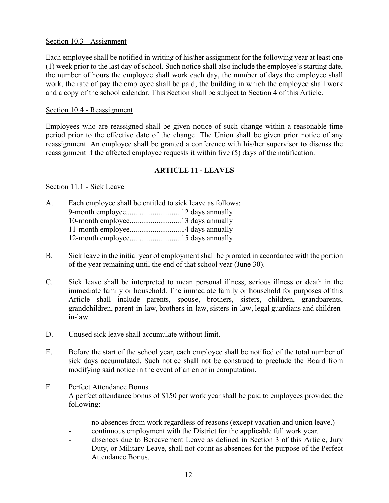#### Section 10.3 - Assignment

Each employee shall be notified in writing of his/her assignment for the following year at least one (1) week prior to the last day of school. Such notice shall also include the employee's starting date, the number of hours the employee shall work each day, the number of days the employee shall work, the rate of pay the employee shall be paid, the building in which the employee shall work and a copy of the school calendar. This Section shall be subject to Section 4 of this Article.

#### Section 10.4 - Reassignment

Employees who are reassigned shall be given notice of such change within a reasonable time period prior to the effective date of the change. The Union shall be given prior notice of any reassignment. An employee shall be granted a conference with his/her supervisor to discuss the reassignment if the affected employee requests it within five (5) days of the notification.

# **ARTICLE 11 - LEAVES**

## Section 11.1 - Sick Leave

| A. | Each employee shall be entitled to sick leave as follows: |  |
|----|-----------------------------------------------------------|--|
|    |                                                           |  |
|    |                                                           |  |
|    |                                                           |  |
|    |                                                           |  |
|    |                                                           |  |

- B. Sick leave in the initial year of employment shall be prorated in accordance with the portion of the year remaining until the end of that school year (June 30).
- C. Sick leave shall be interpreted to mean personal illness, serious illness or death in the immediate family or household. The immediate family or household for purposes of this Article shall include parents, spouse, brothers, sisters, children, grandparents, grandchildren, parent-in-law, brothers-in-law, sisters-in-law, legal guardians and childrenin-law.
- D. Unused sick leave shall accumulate without limit.
- E. Before the start of the school year, each employee shall be notified of the total number of sick days accumulated. Such notice shall not be construed to preclude the Board from modifying said notice in the event of an error in computation.
- F. Perfect Attendance Bonus A perfect attendance bonus of \$150 per work year shall be paid to employees provided the following:
	- no absences from work regardless of reasons (except vacation and union leave.)
	- continuous employment with the District for the applicable full work year.
	- absences due to Bereavement Leave as defined in Section 3 of this Article, Jury Duty, or Military Leave, shall not count as absences for the purpose of the Perfect Attendance Bonus.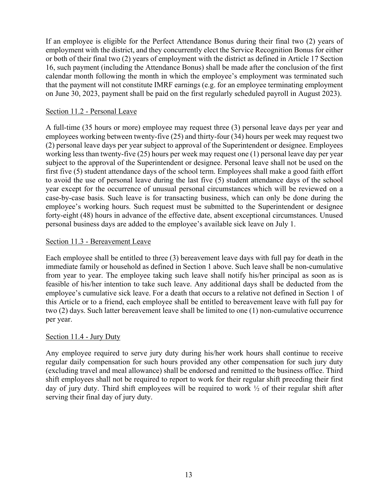If an employee is eligible for the Perfect Attendance Bonus during their final two (2) years of employment with the district, and they concurrently elect the Service Recognition Bonus for either or both of their final two (2) years of employment with the district as defined in Article 17 Section 16, such payment (including the Attendance Bonus) shall be made after the conclusion of the first calendar month following the month in which the employee's employment was terminated such that the payment will not constitute IMRF earnings (e.g. for an employee terminating employment on June 30, 2023, payment shall be paid on the first regularly scheduled payroll in August 2023).

## Section 11.2 - Personal Leave

A full-time (35 hours or more) employee may request three (3) personal leave days per year and employees working between twenty-five (25) and thirty-four (34) hours per week may request two (2) personal leave days per year subject to approval of the Superintendent or designee. Employees working less than twenty-five (25) hours per week may request one (1) personal leave day per year subject to the approval of the Superintendent or designee. Personal leave shall not be used on the first five (5) student attendance days of the school term. Employees shall make a good faith effort to avoid the use of personal leave during the last five (5) student attendance days of the school year except for the occurrence of unusual personal circumstances which will be reviewed on a case-by-case basis. Such leave is for transacting business, which can only be done during the employee's working hours. Such request must be submitted to the Superintendent or designee forty-eight (48) hours in advance of the effective date, absent exceptional circumstances. Unused personal business days are added to the employee's available sick leave on July 1.

## Section 11.3 - Bereavement Leave

Each employee shall be entitled to three (3) bereavement leave days with full pay for death in the immediate family or household as defined in Section 1 above. Such leave shall be non-cumulative from year to year. The employee taking such leave shall notify his/her principal as soon as is feasible of his/her intention to take such leave. Any additional days shall be deducted from the employee's cumulative sick leave. For a death that occurs to a relative not defined in Section 1 of this Article or to a friend, each employee shall be entitled to bereavement leave with full pay for two (2) days. Such latter bereavement leave shall be limited to one (1) non-cumulative occurrence per year.

#### Section 11.4 - Jury Duty

Any employee required to serve jury duty during his/her work hours shall continue to receive regular daily compensation for such hours provided any other compensation for such jury duty (excluding travel and meal allowance) shall be endorsed and remitted to the business office. Third shift employees shall not be required to report to work for their regular shift preceding their first day of jury duty. Third shift employees will be required to work  $\frac{1}{2}$  of their regular shift after serving their final day of jury duty.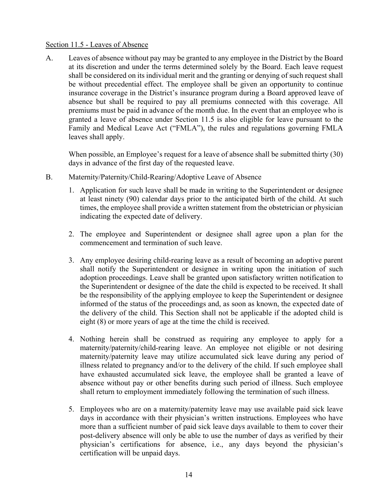#### Section 11.5 - Leaves of Absence

A. Leaves of absence without pay may be granted to any employee in the District by the Board at its discretion and under the terms determined solely by the Board. Each leave request shall be considered on its individual merit and the granting or denying of such request shall be without precedential effect. The employee shall be given an opportunity to continue insurance coverage in the District's insurance program during a Board approved leave of absence but shall be required to pay all premiums connected with this coverage. All premiums must be paid in advance of the month due. In the event that an employee who is granted a leave of absence under Section 11.5 is also eligible for leave pursuant to the Family and Medical Leave Act ("FMLA"), the rules and regulations governing FMLA leaves shall apply.

When possible, an Employee's request for a leave of absence shall be submitted thirty (30) days in advance of the first day of the requested leave.

- B. Maternity/Paternity/Child-Rearing/Adoptive Leave of Absence
	- 1. Application for such leave shall be made in writing to the Superintendent or designee at least ninety (90) calendar days prior to the anticipated birth of the child. At such times, the employee shall provide a written statement from the obstetrician or physician indicating the expected date of delivery.
	- 2. The employee and Superintendent or designee shall agree upon a plan for the commencement and termination of such leave.
	- 3. Any employee desiring child-rearing leave as a result of becoming an adoptive parent shall notify the Superintendent or designee in writing upon the initiation of such adoption proceedings. Leave shall be granted upon satisfactory written notification to the Superintendent or designee of the date the child is expected to be received. It shall be the responsibility of the applying employee to keep the Superintendent or designee informed of the status of the proceedings and, as soon as known, the expected date of the delivery of the child. This Section shall not be applicable if the adopted child is eight (8) or more years of age at the time the child is received.
	- 4. Nothing herein shall be construed as requiring any employee to apply for a maternity/paternity/child-rearing leave. An employee not eligible or not desiring maternity/paternity leave may utilize accumulated sick leave during any period of illness related to pregnancy and/or to the delivery of the child. If such employee shall have exhausted accumulated sick leave, the employee shall be granted a leave of absence without pay or other benefits during such period of illness. Such employee shall return to employment immediately following the termination of such illness.
	- 5. Employees who are on a maternity/paternity leave may use available paid sick leave days in accordance with their physician's written instructions. Employees who have more than a sufficient number of paid sick leave days available to them to cover their post-delivery absence will only be able to use the number of days as verified by their physician's certifications for absence, i.e., any days beyond the physician's certification will be unpaid days.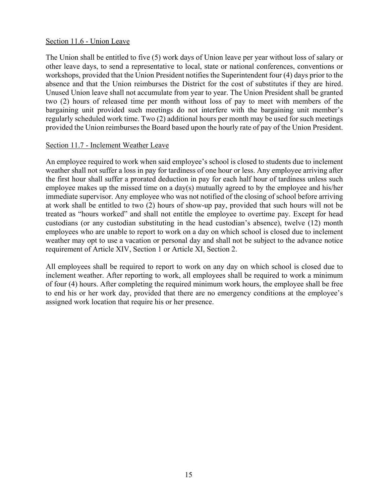#### Section 11.6 - Union Leave

The Union shall be entitled to five (5) work days of Union leave per year without loss of salary or other leave days, to send a representative to local, state or national conferences, conventions or workshops, provided that the Union President notifies the Superintendent four (4) days prior to the absence and that the Union reimburses the District for the cost of substitutes if they are hired. Unused Union leave shall not accumulate from year to year. The Union President shall be granted two (2) hours of released time per month without loss of pay to meet with members of the bargaining unit provided such meetings do not interfere with the bargaining unit member's regularly scheduled work time. Two (2) additional hours per month may be used for such meetings provided the Union reimburses the Board based upon the hourly rate of pay of the Union President.

#### Section 11.7 - Inclement Weather Leave

An employee required to work when said employee's school is closed to students due to inclement weather shall not suffer a loss in pay for tardiness of one hour or less. Any employee arriving after the first hour shall suffer a prorated deduction in pay for each half hour of tardiness unless such employee makes up the missed time on a day(s) mutually agreed to by the employee and his/her immediate supervisor. Any employee who was not notified of the closing of school before arriving at work shall be entitled to two (2) hours of show-up pay, provided that such hours will not be treated as "hours worked" and shall not entitle the employee to overtime pay. Except for head custodians (or any custodian substituting in the head custodian's absence), twelve (12) month employees who are unable to report to work on a day on which school is closed due to inclement weather may opt to use a vacation or personal day and shall not be subject to the advance notice requirement of Article XIV, Section 1 or Article XI, Section 2.

All employees shall be required to report to work on any day on which school is closed due to inclement weather. After reporting to work, all employees shall be required to work a minimum of four (4) hours. After completing the required minimum work hours, the employee shall be free to end his or her work day, provided that there are no emergency conditions at the employee's assigned work location that require his or her presence.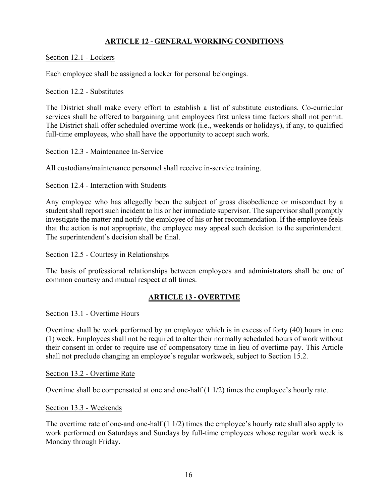## **ARTICLE 12 - GENERAL WORKING CONDITIONS**

#### Section 12.1 - Lockers

Each employee shall be assigned a locker for personal belongings.

#### Section 12.2 - Substitutes

The District shall make every effort to establish a list of substitute custodians. Co-curricular services shall be offered to bargaining unit employees first unless time factors shall not permit. The District shall offer scheduled overtime work (i.e., weekends or holidays), if any, to qualified full-time employees, who shall have the opportunity to accept such work.

#### Section 12.3 - Maintenance In-Service

All custodians/maintenance personnel shall receive in-service training.

## Section 12.4 - Interaction with Students

Any employee who has allegedly been the subject of gross disobedience or misconduct by a student shall report such incident to his or her immediate supervisor. The supervisor shall promptly investigate the matter and notify the employee of his or her recommendation. If the employee feels that the action is not appropriate, the employee may appeal such decision to the superintendent. The superintendent's decision shall be final.

#### Section 12.5 - Courtesy in Relationships

The basis of professional relationships between employees and administrators shall be one of common courtesy and mutual respect at all times.

# **ARTICLE 13 - OVERTIME**

#### Section 13.1 - Overtime Hours

Overtime shall be work performed by an employee which is in excess of forty (40) hours in one (1) week. Employees shall not be required to alter their normally scheduled hours of work without their consent in order to require use of compensatory time in lieu of overtime pay. This Article shall not preclude changing an employee's regular workweek, subject to Section 15.2.

#### Section 13.2 - Overtime Rate

Overtime shall be compensated at one and one-half (1 1/2) times the employee's hourly rate.

#### Section 13.3 - Weekends

The overtime rate of one-and one-half (1 1/2) times the employee's hourly rate shall also apply to work performed on Saturdays and Sundays by full-time employees whose regular work week is Monday through Friday.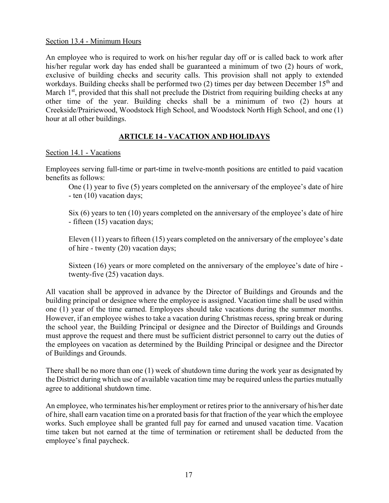#### Section 13.4 - Minimum Hours

An employee who is required to work on his/her regular day off or is called back to work after his/her regular work day has ended shall be guaranteed a minimum of two (2) hours of work, exclusive of building checks and security calls. This provision shall not apply to extended workdays. Building checks shall be performed two  $(2)$  times per day between December 15<sup>th</sup> and March  $1<sup>st</sup>$ , provided that this shall not preclude the District from requiring building checks at any other time of the year. Building checks shall be a minimum of two (2) hours at Creekside/Prairiewood, Woodstock High School, and Woodstock North High School, and one (1) hour at all other buildings.

## **ARTICLE 14 - VACATION AND HOLIDAYS**

#### Section 14.1 - Vacations

Employees serving full-time or part-time in twelve-month positions are entitled to paid vacation benefits as follows:

One (1) year to five (5) years completed on the anniversary of the employee's date of hire - ten (10) vacation days;

Six (6) years to ten (10) years completed on the anniversary of the employee's date of hire - fifteen (15) vacation days;

Eleven (11) years to fifteen (15) years completed on the anniversary of the employee's date of hire - twenty (20) vacation days;

Sixteen (16) years or more completed on the anniversary of the employee's date of hire twenty-five (25) vacation days.

All vacation shall be approved in advance by the Director of Buildings and Grounds and the building principal or designee where the employee is assigned. Vacation time shall be used within one (1) year of the time earned. Employees should take vacations during the summer months. However, if an employee wishes to take a vacation during Christmas recess, spring break or during the school year, the Building Principal or designee and the Director of Buildings and Grounds must approve the request and there must be sufficient district personnel to carry out the duties of the employees on vacation as determined by the Building Principal or designee and the Director of Buildings and Grounds.

There shall be no more than one (1) week of shutdown time during the work year as designated by the District during which use of available vacation time may be required unless the parties mutually agree to additional shutdown time.

An employee, who terminates his/her employment or retires prior to the anniversary of his/her date of hire, shall earn vacation time on a prorated basis for that fraction of the year which the employee works. Such employee shall be granted full pay for earned and unused vacation time. Vacation time taken but not earned at the time of termination or retirement shall be deducted from the employee's final paycheck.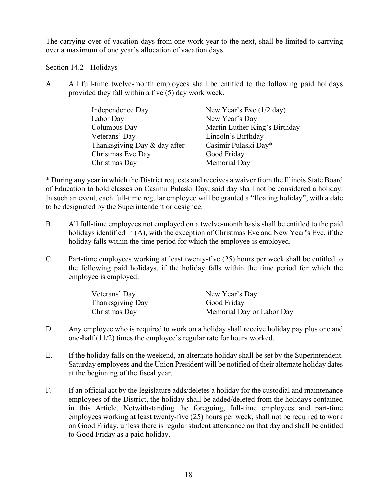The carrying over of vacation days from one work year to the next, shall be limited to carrying over a maximum of one year's allocation of vacation days.

Section 14.2 - Holidays

A. All full-time twelve-month employees shall be entitled to the following paid holidays provided they fall within a five (5) day work week.

| Independence Day             | New Year's Eve $(1/2 \text{ day})$ |
|------------------------------|------------------------------------|
| Labor Day                    | New Year's Day                     |
| Columbus Day                 | Martin Luther King's Birthday      |
| Veterans' Day                | Lincoln's Birthday                 |
| Thanksgiving Day & day after | Casimir Pulaski Day*               |
| Christmas Eve Day            | Good Friday                        |
| Christmas Day                | Memorial Day                       |

\* During any year in which the District requests and receives a waiver from the Illinois State Board of Education to hold classes on Casimir Pulaski Day, said day shall not be considered a holiday. In such an event, each full-time regular employee will be granted a "floating holiday", with a date to be designated by the Superintendent or designee.

- B. All full-time employees not employed on a twelve-month basis shall be entitled to the paid holidays identified in (A), with the exception of Christmas Eve and New Year's Eve, if the holiday falls within the time period for which the employee is employed.
- C. Part-time employees working at least twenty-five (25) hours per week shall be entitled to the following paid holidays, if the holiday falls within the time period for which the employee is employed:

| Veterans' Day    | New Year's Day            |
|------------------|---------------------------|
| Thanksgiving Day | Good Friday               |
| Christmas Day    | Memorial Day or Labor Day |

- D. Any employee who is required to work on a holiday shall receive holiday pay plus one and one-half (11/2) times the employee's regular rate for hours worked.
- E. If the holiday falls on the weekend, an alternate holiday shall be set by the Superintendent. Saturday employees and the Union President will be notified of their alternate holiday dates at the beginning of the fiscal year.
- F. If an official act by the legislature adds/deletes a holiday for the custodial and maintenance employees of the District, the holiday shall be added/deleted from the holidays contained in this Article. Notwithstanding the foregoing, full-time employees and part-time employees working at least twenty-five (25) hours per week, shall not be required to work on Good Friday, unless there is regular student attendance on that day and shall be entitled to Good Friday as a paid holiday.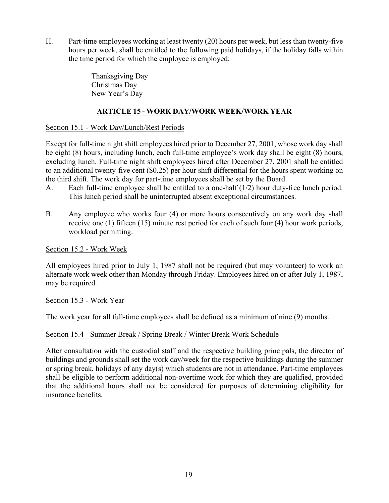H. Part-time employees working at least twenty (20) hours per week, but less than twenty-five hours per week, shall be entitled to the following paid holidays, if the holiday falls within the time period for which the employee is employed:

> Thanksgiving Day Christmas Day New Year's Day

# **ARTICLE 15 - WORK DAY/WORK WEEK/WORK YEAR**

## Section 15.1 - Work Day/Lunch/Rest Periods

Except for full-time night shift employees hired prior to December 27, 2001, whose work day shall be eight (8) hours, including lunch, each full-time employee's work day shall be eight (8) hours, excluding lunch. Full-time night shift employees hired after December 27, 2001 shall be entitled to an additional twenty-five cent (\$0.25) per hour shift differential for the hours spent working on the third shift. The work day for part-time employees shall be set by the Board.

- A. Each full-time employee shall be entitled to a one-half (1/2) hour duty-free lunch period. This lunch period shall be uninterrupted absent exceptional circumstances.
- B. Any employee who works four (4) or more hours consecutively on any work day shall receive one (1) fifteen (15) minute rest period for each of such four (4) hour work periods, workload permitting.

Section 15.2 - Work Week

All employees hired prior to July 1, 1987 shall not be required (but may volunteer) to work an alternate work week other than Monday through Friday. Employees hired on or after July 1, 1987, may be required.

Section 15.3 - Work Year

The work year for all full-time employees shall be defined as a minimum of nine (9) months.

## Section 15.4 - Summer Break / Spring Break / Winter Break Work Schedule

After consultation with the custodial staff and the respective building principals, the director of buildings and grounds shall set the work day/week for the respective buildings during the summer or spring break, holidays of any day(s) which students are not in attendance. Part-time employees shall be eligible to perform additional non-overtime work for which they are qualified, provided that the additional hours shall not be considered for purposes of determining eligibility for insurance benefits.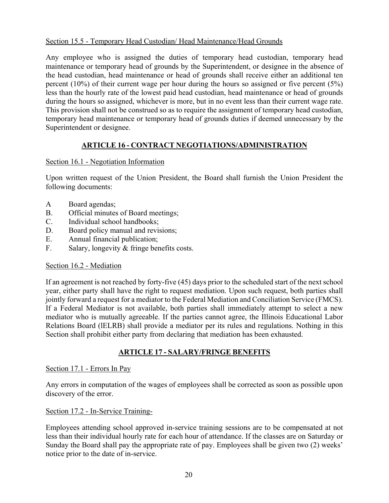## Section 15.5 - Temporary Head Custodian/ Head Maintenance/Head Grounds

Any employee who is assigned the duties of temporary head custodian, temporary head maintenance or temporary head of grounds by the Superintendent, or designee in the absence of the head custodian, head maintenance or head of grounds shall receive either an additional ten percent (10%) of their current wage per hour during the hours so assigned or five percent (5%) less than the hourly rate of the lowest paid head custodian, head maintenance or head of grounds during the hours so assigned, whichever is more, but in no event less than their current wage rate. This provision shall not be construed so as to require the assignment of temporary head custodian, temporary head maintenance or temporary head of grounds duties if deemed unnecessary by the Superintendent or designee.

# **ARTICLE 16 - CONTRACT NEGOTIATIONS/ADMINISTRATION**

## Section 16.1 - Negotiation Information

Upon written request of the Union President, the Board shall furnish the Union President the following documents:

- A Board agendas;
- B. Official minutes of Board meetings;
- C. Individual school handbooks;
- D. Board policy manual and revisions;
- E. Annual financial publication;
- F. Salary, longevity & fringe benefits costs.

#### Section 16.2 - Mediation

If an agreement is not reached by forty-five (45) days prior to the scheduled start of the next school year, either party shall have the right to request mediation. Upon such request, both parties shall jointly forward a request for a mediator to the Federal Mediation and Conciliation Service (FMCS). If a Federal Mediator is not available, both parties shall immediately attempt to select a new mediator who is mutually agreeable. If the parties cannot agree, the Illinois Educational Labor Relations Board (lELRB) shall provide a mediator per its rules and regulations. Nothing in this Section shall prohibit either party from declaring that mediation has been exhausted.

## **ARTICLE 17 - SALARY/FRINGE BENEFITS**

#### Section 17.1 - Errors In Pay

Any errors in computation of the wages of employees shall be corrected as soon as possible upon discovery of the error.

#### Section 17.2 - In-Service Training-

Employees attending school approved in-service training sessions are to be compensated at not less than their individual hourly rate for each hour of attendance. If the classes are on Saturday or Sunday the Board shall pay the appropriate rate of pay. Employees shall be given two (2) weeks' notice prior to the date of in-service.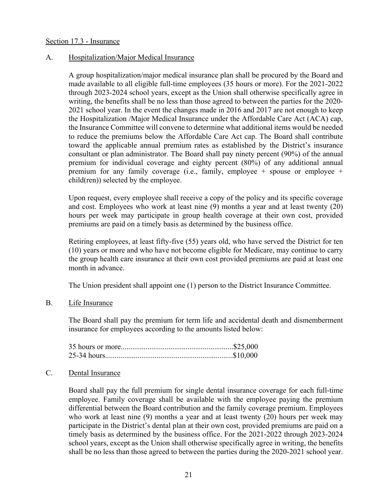#### Section 17.3 - Insurance

#### A. Hospitalization/Major Medical Insurance

A group hospitalization/major medical insurance plan shall be procured by the Board and made available to all eligible full-time employees (35 hours or more). For the 2021-2022 through 2023-2024 school years, except as the Union shall otherwise specifically agree in writing, the benefits shall be no less than those agreed to between the parties for the 2020- 2021 school year. In the event the changes made in 2016 and 2017 are not enough to keep the Hospitalization /Major Medical Insurance under the Affordable Care Act (ACA) cap, the Insurance Committee will convene to determine what additional items would be needed to reduce the premiums below the Affordable Care Act cap. The Board shall contribute toward the applicable annual premium rates as established by the District's insurance consultant or plan administrator. The Board shall pay ninety percent (90%) of the annual premium for individual coverage and eighty percent (80%) of any additional annual premium for any family coverage (i.e., family, employee  $+$  spouse or employee  $+$ child(ren)) selected by the employee.

Upon request, every employee shall receive a copy of the policy and its specific coverage and cost. Employees who work at least nine (9) months a year and at least twenty (20) hours per week may participate in group health coverage at their own cost, provided premiums are paid on a timely basis as determined by the business office.

Retiring employees, at least fifty-five (55) years old, who have served the District for ten (10) years or more and who have not become eligible for Medicare, may continue to carry the group health care insurance at their own cost provided premiums are paid at least one month in advance.

The Union president shall appoint one (1) person to the District Insurance Committee.

#### B. Life Insurance

The Board shall pay the premium for term life and accidental death and dismemberment insurance for employees according to the amounts listed below:

#### C. Dental Insurance

Board shall pay the full premium for single dental insurance coverage for each full-time employee. Family coverage shall be available with the employee paying the premium differential between the Board contribution and the family coverage premium. Employees who work at least nine (9) months a year and at least twenty (20) hours per week may participate in the District's dental plan at their own cost, provided premiums are paid on a timely basis as determined by the business office. For the 2021-2022 through 2023-2024 school years, except as the Union shall otherwise specifically agree in writing, the benefits shall be no less than those agreed to between the parties during the 2020-2021 school year.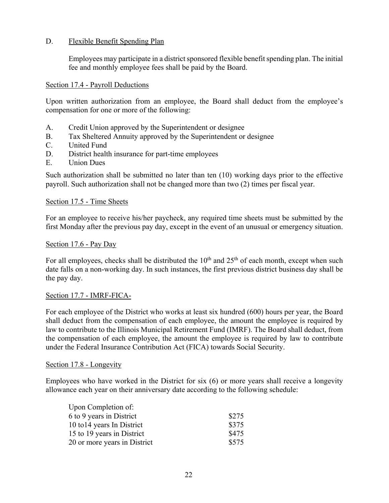## D. Flexible Benefit Spending Plan

Employees may participate in a district sponsored flexible benefit spending plan. The initial fee and monthly employee fees shall be paid by the Board.

#### Section 17.4 - Payroll Deductions

Upon written authorization from an employee, the Board shall deduct from the employee's compensation for one or more of the following:

- A. Credit Union approved by the Superintendent or designee
- B. Tax Sheltered Annuity approved by the Superintendent or designee
- C. United Fund
- D. District health insurance for part-time employees
- E. Union Dues

Such authorization shall be submitted no later than ten (10) working days prior to the effective payroll. Such authorization shall not be changed more than two (2) times per fiscal year.

#### Section 17.5 - Time Sheets

For an employee to receive his/her paycheck, any required time sheets must be submitted by the first Monday after the previous pay day, except in the event of an unusual or emergency situation.

#### Section 17.6 - Pay Day

For all employees, checks shall be distributed the  $10<sup>th</sup>$  and  $25<sup>th</sup>$  of each month, except when such date falls on a non-working day. In such instances, the first previous district business day shall be the pay day.

#### Section 17.7 - IMRF-FICA-

For each employee of the District who works at least six hundred (600) hours per year, the Board shall deduct from the compensation of each employee, the amount the employee is required by law to contribute to the Illinois Municipal Retirement Fund (IMRF). The Board shall deduct, from the compensation of each employee, the amount the employee is required by law to contribute under the Federal Insurance Contribution Act (FICA) towards Social Security.

#### Section 17.8 - Longevity

Employees who have worked in the District for six (6) or more years shall receive a longevity allowance each year on their anniversary date according to the following schedule:

| Upon Completion of:          |       |
|------------------------------|-------|
| 6 to 9 years in District     | \$275 |
| 10 to 14 years In District   | \$375 |
| 15 to 19 years in District   | \$475 |
| 20 or more years in District | \$575 |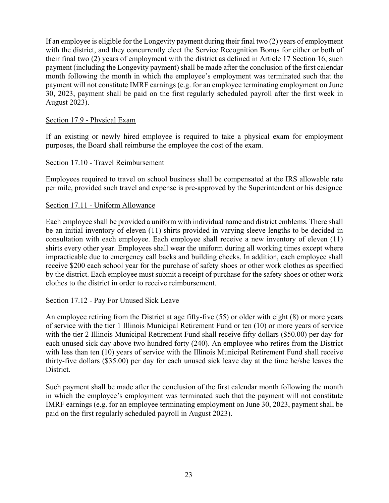If an employee is eligible for the Longevity payment during their final two (2) years of employment with the district, and they concurrently elect the Service Recognition Bonus for either or both of their final two (2) years of employment with the district as defined in Article 17 Section 16, such payment (including the Longevity payment) shall be made after the conclusion of the first calendar month following the month in which the employee's employment was terminated such that the payment will not constitute IMRF earnings (e.g. for an employee terminating employment on June 30, 2023, payment shall be paid on the first regularly scheduled payroll after the first week in August 2023).

## Section 17.9 - Physical Exam

If an existing or newly hired employee is required to take a physical exam for employment purposes, the Board shall reimburse the employee the cost of the exam.

#### Section 17.10 - Travel Reimbursement

Employees required to travel on school business shall be compensated at the IRS allowable rate per mile, provided such travel and expense is pre-approved by the Superintendent or his designee

#### Section 17.11 - Uniform Allowance

Each employee shall be provided a uniform with individual name and district emblems. There shall be an initial inventory of eleven (11) shirts provided in varying sleeve lengths to be decided in consultation with each employee. Each employee shall receive a new inventory of eleven (11) shirts every other year. Employees shall wear the uniform during all working times except where impracticable due to emergency call backs and building checks. In addition, each employee shall receive \$200 each school year for the purchase of safety shoes or other work clothes as specified by the district. Each employee must submit a receipt of purchase for the safety shoes or other work clothes to the district in order to receive reimbursement.

## Section 17.12 - Pay For Unused Sick Leave

An employee retiring from the District at age fifty-five (55) or older with eight (8) or more years of service with the tier 1 Illinois Municipal Retirement Fund or ten (10) or more years of service with the tier 2 Illinois Municipal Retirement Fund shall receive fifty dollars (\$50.00) per day for each unused sick day above two hundred forty (240). An employee who retires from the District with less than ten (10) years of service with the Illinois Municipal Retirement Fund shall receive thirty-five dollars (\$35.00) per day for each unused sick leave day at the time he/she leaves the District.

Such payment shall be made after the conclusion of the first calendar month following the month in which the employee's employment was terminated such that the payment will not constitute IMRF earnings (e.g. for an employee terminating employment on June 30, 2023, payment shall be paid on the first regularly scheduled payroll in August 2023).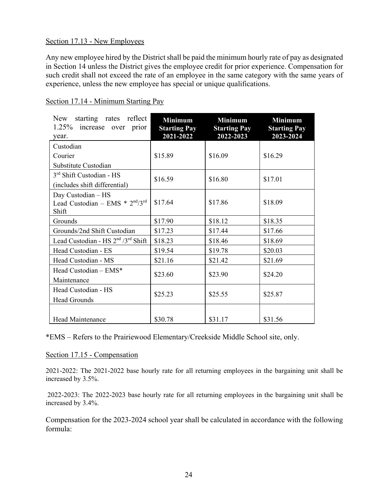#### Section 17.13 - New Employees

Any new employee hired by the District shall be paid the minimum hourly rate of pay as designated in Section 14 unless the District gives the employee credit for prior experience. Compensation for such credit shall not exceed the rate of an employee in the same category with the same years of experience, unless the new employee has special or unique qualifications.

| starting rates reflect<br>New<br>1.25% increase over prior<br>year. | <b>Minimum</b><br><b>Starting Pay</b><br>2021-2022 | <b>Minimum</b><br><b>Starting Pay</b><br>2022-2023 | <b>Minimum</b><br><b>Starting Pay</b><br>2023-2024 |
|---------------------------------------------------------------------|----------------------------------------------------|----------------------------------------------------|----------------------------------------------------|
| Custodian                                                           |                                                    |                                                    |                                                    |
| Courier                                                             | \$15.89                                            | \$16.09                                            | \$16.29                                            |
| Substitute Custodian                                                |                                                    |                                                    |                                                    |
| 3 <sup>rd</sup> Shift Custodian - HS                                | \$16.59                                            | \$16.80                                            | \$17.01                                            |
| (includes shift differential)                                       |                                                    |                                                    |                                                    |
| Day Custodian - HS<br>Lead Custodian - EMS * 2nd/3rd<br>Shift       | \$17.64                                            | \$17.86                                            | \$18.09                                            |
| Grounds                                                             | \$17.90                                            | \$18.12                                            | \$18.35                                            |
| Grounds/2nd Shift Custodian                                         | \$17.23                                            | \$17.44                                            | \$17.66                                            |
| Lead Custodian - HS 2 <sup>nd</sup> /3 <sup>rd</sup> Shift          | \$18.23                                            | \$18.46                                            | \$18.69                                            |
| Head Custodian - ES                                                 | \$19.54                                            | \$19.78                                            | \$20.03                                            |
| Head Custodian - MS                                                 | \$21.16                                            | \$21.42                                            | \$21.69                                            |
| Head Custodian $-$ EMS*<br>Maintenance                              | \$23.60                                            | \$23.90                                            | \$24.20                                            |
| Head Custodian - HS                                                 | \$25.23                                            | \$25.55                                            | \$25.87                                            |
| <b>Head Grounds</b>                                                 |                                                    |                                                    |                                                    |
| Head Maintenance                                                    | \$30.78                                            | \$31.17                                            | \$31.56                                            |

#### Section 17.14 - Minimum Starting Pay

\*EMS – Refers to the Prairiewood Elementary/Creekside Middle School site, only.

#### Section 17.15 - Compensation

2021-2022: The 2021-2022 base hourly rate for all returning employees in the bargaining unit shall be increased by 3.5%.

 2022-2023: The 2022-2023 base hourly rate for all returning employees in the bargaining unit shall be increased by 3.4%.

Compensation for the 2023-2024 school year shall be calculated in accordance with the following formula: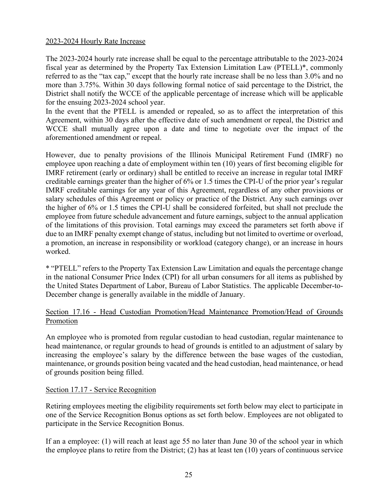#### 2023-2024 Hourly Rate Increase

The 2023-2024 hourly rate increase shall be equal to the percentage attributable to the 2023-2024 fiscal year as determined by the Property Tax Extension Limitation Law (PTELL)\*, commonly referred to as the "tax cap," except that the hourly rate increase shall be no less than 3.0% and no more than 3.75%. Within 30 days following formal notice of said percentage to the District, the District shall notify the WCCE of the applicable percentage of increase which will be applicable for the ensuing 2023-2024 school year.

In the event that the PTELL is amended or repealed, so as to affect the interpretation of this Agreement, within 30 days after the effective date of such amendment or repeal, the District and WCCE shall mutually agree upon a date and time to negotiate over the impact of the aforementioned amendment or repeal.

However, due to penalty provisions of the Illinois Municipal Retirement Fund (IMRF) no employee upon reaching a date of employment within ten (10) years of first becoming eligible for IMRF retirement (early or ordinary) shall be entitled to receive an increase in regular total IMRF creditable earnings greater than the higher of 6% or 1.5 times the CPI-U of the prior year's regular IMRF creditable earnings for any year of this Agreement, regardless of any other provisions or salary schedules of this Agreement or policy or practice of the District. Any such earnings over the higher of 6% or 1.5 times the CPI-U shall be considered forfeited, but shall not preclude the employee from future schedule advancement and future earnings, subject to the annual application of the limitations of this provision. Total earnings may exceed the parameters set forth above if due to an IMRF penalty exempt change of status, including but not limited to overtime or overload, a promotion, an increase in responsibility or workload (category change), or an increase in hours worked.

\* "PTELL" refers to the Property Tax Extension Law Limitation and equals the percentage change in the national Consumer Price Index (CPI) for all urban consumers for all items as published by the United States Department of Labor, Bureau of Labor Statistics. The applicable December-to-December change is generally available in the middle of January.

## Section 17.16 - Head Custodian Promotion/Head Maintenance Promotion/Head of Grounds Promotion

An employee who is promoted from regular custodian to head custodian, regular maintenance to head maintenance, or regular grounds to head of grounds is entitled to an adjustment of salary by increasing the employee's salary by the difference between the base wages of the custodian, maintenance, or grounds position being vacated and the head custodian, head maintenance, or head of grounds position being filled.

#### Section 17.17 - Service Recognition

Retiring employees meeting the eligibility requirements set forth below may elect to participate in one of the Service Recognition Bonus options as set forth below. Employees are not obligated to participate in the Service Recognition Bonus.

If an a employee: (1) will reach at least age 55 no later than June 30 of the school year in which the employee plans to retire from the District; (2) has at least ten (10) years of continuous service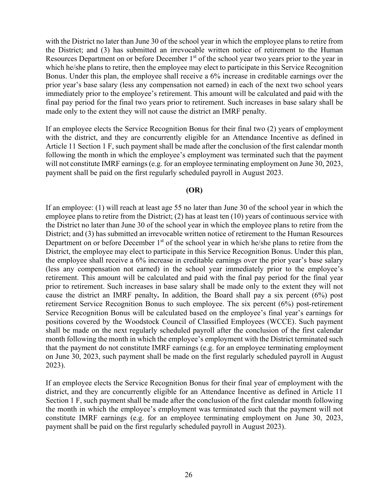with the District no later than June 30 of the school year in which the employee plans to retire from the District; and (3) has submitted an irrevocable written notice of retirement to the Human Resources Department on or before December 1<sup>st</sup> of the school year two years prior to the year in which he/she plans to retire, then the employee may elect to participate in this Service Recognition Bonus. Under this plan, the employee shall receive a 6% increase in creditable earnings over the prior year's base salary (less any compensation not earned) in each of the next two school years immediately prior to the employee's retirement. This amount will be calculated and paid with the final pay period for the final two years prior to retirement. Such increases in base salary shall be made only to the extent they will not cause the district an IMRF penalty.

If an employee elects the Service Recognition Bonus for their final two (2) years of employment with the district, and they are concurrently eligible for an Attendance Incentive as defined in Article 11 Section 1 F, such payment shall be made after the conclusion of the first calendar month following the month in which the employee's employment was terminated such that the payment will not constitute IMRF earnings (e.g. for an employee terminating employment on June 30, 2023, payment shall be paid on the first regularly scheduled payroll in August 2023.

#### **(OR)**

If an employee: (1) will reach at least age 55 no later than June 30 of the school year in which the employee plans to retire from the District; (2) has at least ten (10) years of continuous service with the District no later than June 30 of the school year in which the employee plans to retire from the District; and (3) has submitted an irrevocable written notice of retirement to the Human Resources Department on or before December  $1<sup>st</sup>$  of the school year in which he/she plans to retire from the District, the employee may elect to participate in this Service Recognition Bonus. Under this plan, the employee shall receive a 6% increase in creditable earnings over the prior year's base salary (less any compensation not earned) in the school year immediately prior to the employee's retirement. This amount will be calculated and paid with the final pay period for the final year prior to retirement. Such increases in base salary shall be made only to the extent they will not cause the district an IMRF penalty**.** In addition, the Board shall pay a six percent (6%) post retirement Service Recognition Bonus to such employee. The six percent (6%) post-retirement Service Recognition Bonus will be calculated based on the employee's final year's earnings for positions covered by the Woodstock Council of Classified Employees (WCCE). Such payment shall be made on the next regularly scheduled payroll after the conclusion of the first calendar month following the month in which the employee's employment with the District terminated such that the payment do not constitute IMRF earnings (e.g. for an employee terminating employment on June 30, 2023, such payment shall be made on the first regularly scheduled payroll in August 2023).

If an employee elects the Service Recognition Bonus for their final year of employment with the district, and they are concurrently eligible for an Attendance Incentive as defined in Article 11 Section 1 F, such payment shall be made after the conclusion of the first calendar month following the month in which the employee's employment was terminated such that the payment will not constitute IMRF earnings (e.g. for an employee terminating employment on June 30, 2023, payment shall be paid on the first regularly scheduled payroll in August 2023).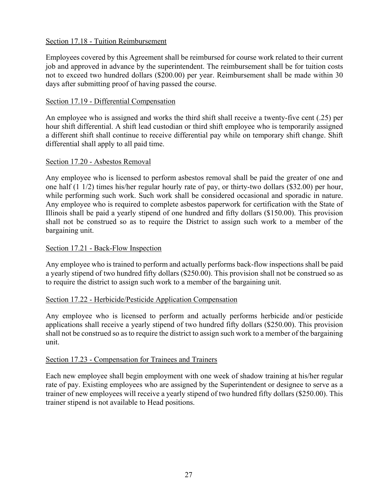## Section 17.18 - Tuition Reimbursement

Employees covered by this Agreement shall be reimbursed for course work related to their current job and approved in advance by the superintendent. The reimbursement shall be for tuition costs not to exceed two hundred dollars (\$200.00) per year. Reimbursement shall be made within 30 days after submitting proof of having passed the course.

## Section 17.19 - Differential Compensation

An employee who is assigned and works the third shift shall receive a twenty-five cent (.25) per hour shift differential. A shift lead custodian or third shift employee who is temporarily assigned a different shift shall continue to receive differential pay while on temporary shift change. Shift differential shall apply to all paid time.

#### Section 17.20 - Asbestos Removal

Any employee who is licensed to perform asbestos removal shall be paid the greater of one and one half (1 1/2) times his/her regular hourly rate of pay, or thirty-two dollars (\$32.00) per hour, while performing such work. Such work shall be considered occasional and sporadic in nature. Any employee who is required to complete asbestos paperwork for certification with the State of Illinois shall be paid a yearly stipend of one hundred and fifty dollars (\$150.00). This provision shall not be construed so as to require the District to assign such work to a member of the bargaining unit.

## Section 17.21 - Back-Flow Inspection

Any employee who is trained to perform and actually performs back-flow inspections shall be paid a yearly stipend of two hundred fifty dollars (\$250.00). This provision shall not be construed so as to require the district to assign such work to a member of the bargaining unit.

#### Section 17.22 - Herbicide/Pesticide Application Compensation

Any employee who is licensed to perform and actually performs herbicide and/or pesticide applications shall receive a yearly stipend of two hundred fifty dollars (\$250.00). This provision shall not be construed so as to require the district to assign such work to a member of the bargaining unit.

#### Section 17.23 - Compensation for Trainees and Trainers

Each new employee shall begin employment with one week of shadow training at his/her regular rate of pay. Existing employees who are assigned by the Superintendent or designee to serve as a trainer of new employees will receive a yearly stipend of two hundred fifty dollars (\$250.00). This trainer stipend is not available to Head positions.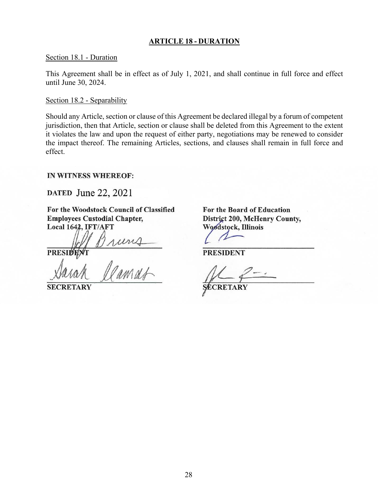#### **ARTICLE 18 - DURATION**

#### Section 18.1 - Duration

This Agreement shall be in effect as of July 1, 2021, and shall continue in full force and effect until June 30, 2024.

#### Section 18.2 - Separability

Should any Article, section or clause of this Agreement be declared illegal by a forum of competent jurisdiction, then that Article, section or clause shall be deleted from this Agreement to the extent it violates the law and upon the request of either party, negotiations may be renewed to consider the impact thereof. The remaining Articles, sections, and clauses shall remain in full force and effect.

#### **IN WITNESS WHEREOF:**

DATED June 22, 2021

For the Woodstock Council of Classified **Employees Custodial Chapter,** Local 1642, IFT/AFT

**PRESIDE** 

Bruns<br>Clamat

**SECRETARY** 

For the Board of Education District 200, McHenry County, Woodstock, Illinois

**PRESIDENT**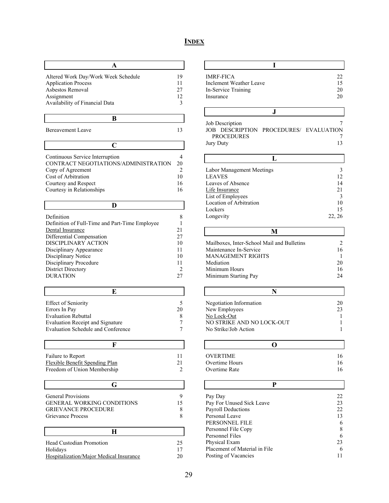# **INDEX**

г

 $\overline{\phantom{a}}$ 

┘

| Altered Work Day/Work Week Schedule | 19 |
|-------------------------------------|----|
| <b>Application Process</b>          | 11 |
| Ashestos Removal                    | 27 |
| Assignment                          | 12 |
| Availability of Financial Data      |    |
|                                     |    |

**B**

Bereavement Leave 13

 $\overline{\Gamma}$ 

| Continuous Service Interruption      |    |
|--------------------------------------|----|
| CONTRACT NEGOTIATIONS/ADMINISTRATION | 20 |
| Copy of Agreement                    |    |
| Cost of Arbitration                  | 10 |
| Courtesy and Respect                 | 16 |
| Courtesy in Relationships            |    |

| Definition                                     |    |
|------------------------------------------------|----|
| Definition of Full-Time and Part-Time Employee |    |
| Dental Insurance                               | 21 |
| Differential Compensation                      | 27 |
| DISCIPLINARY ACTION                            | 10 |
| Disciplinary Appearance                        | 11 |
| Disciplinary Notice                            | 10 |
| Disciplinary Procedure                         |    |
| District Directory                             |    |
| <b>DURATION</b>                                |    |

| <b>Effect of Seniority</b>              |    |
|-----------------------------------------|----|
| Errors In Pay                           | 20 |
| <b>Evaluation Rebuttal</b>              |    |
| <b>Evaluation Receipt and Signature</b> |    |
| Evaluation Schedule and Conference      |    |

| Failure to Report                 |    |
|-----------------------------------|----|
| Flexible Benefit Spending Plan    | 21 |
| Freedom of Union Membership       |    |
|                                   |    |
| G                                 |    |
| General Provisions                | 9  |
| <b>GENERAL WORKING CONDITIONS</b> | 15 |
| <b>GRIEVANCE PROCEDURE</b>        |    |
| Grievance Process                 |    |
|                                   |    |
| H                                 |    |
| <b>Head Custodian Promotion</b>   | 25 |
| Holidave                          |    |

| Holidays                                |    |
|-----------------------------------------|----|
| Hospitalization/Major Medical Insurance | 20 |

| <b>IMRF-FICA</b><br>Inclement Weather Leave<br>In-Service Training<br>Insurance | 22<br>15<br>20<br>20 |
|---------------------------------------------------------------------------------|----------------------|
|                                                                                 |                      |

|           | Job Description   |                                        |  |
|-----------|-------------------|----------------------------------------|--|
|           |                   | JOB DESCRIPTION PROCEDURES/ EVALUATION |  |
|           | <b>PROCEDURES</b> |                                        |  |
| Jury Duty |                   |                                        |  |

| Labor Management Meetings |        |  |  |
|---------------------------|--------|--|--|
| <b>LEAVES</b>             | 12     |  |  |
| Leaves of Absence         | 14     |  |  |
| Life Insurance            | 2.1    |  |  |
| List of Employees         |        |  |  |
| Location of Arbitration   | 10     |  |  |
| Lockers                   | 15     |  |  |
| Longevity                 | 22, 26 |  |  |

| Mailboxes, Inter-School Mail and Bulletins |    |
|--------------------------------------------|----|
| Maintenance In-Service                     | 16 |
| <b>MANAGEMENT RIGHTS</b>                   |    |
| Mediation                                  | 20 |
| Minimum Hours                              | 16 |
| Minimum Starting Pay                       | 24 |
|                                            |    |

**M**

| Negotiation Information   | 20 |  |
|---------------------------|----|--|
| New Employees             | 23 |  |
| No Lock-Out               |    |  |
| NO STRIKE AND NO LOCK-OUT |    |  |
| No Strike/Job Action      |    |  |

| 0              |    |
|----------------|----|
| OVERTIME       | Ιh |
| Overtime Hours | 16 |
| Overtime Rate  |    |

| Pay Day                       | 22 |  |
|-------------------------------|----|--|
| Pay For Unused Sick Leave     | 23 |  |
| Payroll Deductions            | 22 |  |
| Personal Leave                | 13 |  |
| PERSONNEL FILE                | 6  |  |
| Personnel File Copy           | 8  |  |
| Personnel Files               | 6  |  |
| Physical Exam                 | 23 |  |
| Placement of Material in File | 6  |  |
| Posting of Vacancies          |    |  |